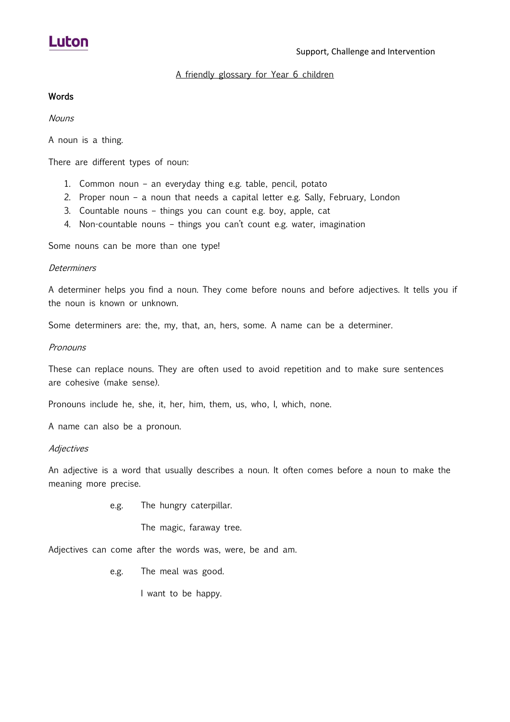# **Luton**

### A friendly glossary for Year 6 children

### Words

Nouns

A noun is a thing.

There are different types of noun:

- 1. Common noun an everyday thing e.g. table, pencil, potato
- 2. Proper noun a noun that needs a capital letter e.g. Sally, February, London
- 3. Countable nouns things you can count e.g. boy, apple, cat
- 4. Non-countable nouns things you can't count e.g. water, imagination

Some nouns can be more than one type!

#### **Determiners**

A determiner helps you find a noun. They come before nouns and before adjectives. It tells you if the noun is known or unknown.

Some determiners are: the, my, that, an, hers, some. A name can be a determiner.

#### **Pronouns**

These can replace nouns. They are often used to avoid repetition and to make sure sentences are cohesive (make sense).

Pronouns include he, she, it, her, him, them, us, who, I, which, none.

A name can also be a pronoun.

#### **Adjectives**

An adjective is a word that usually describes a noun. It often comes before a noun to make the meaning more precise.

e.g. The hungry caterpillar.

The magic, faraway tree.

Adjectives can come after the words was, were, be and am.

e.g. The meal was good.

I want to be happy.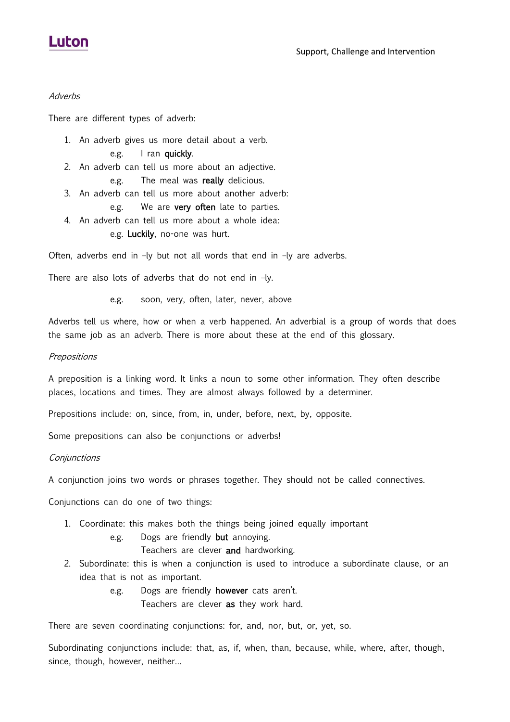## Luton

#### **Adverbs**

There are different types of adverb:

- 1. An adverb gives us more detail about a verb.
	- e.g. I ran quickly.
- 2. An adverb can tell us more about an adjective.
	- e.g. The meal was **really** delicious.
- 3. An adverb can tell us more about another adverb: e.g. We are very often late to parties.
- 4. An adverb can tell us more about a whole idea: e.g. Luckily, no-one was hurt.

Often, adverbs end in –ly but not all words that end in –ly are adverbs.

There are also lots of adverbs that do not end in –ly.

e.g. soon, very, often, later, never, above

Adverbs tell us where, how or when a verb happened. An adverbial is a group of words that does the same job as an adverb. There is more about these at the end of this glossary.

### **Prepositions**

A preposition is a linking word. It links a noun to some other information. They often describe places, locations and times. They are almost always followed by a determiner.

Prepositions include: on, since, from, in, under, before, next, by, opposite.

Some prepositions can also be conjunctions or adverbs!

**Conjunctions** 

A conjunction joins two words or phrases together. They should not be called connectives.

Conjunctions can do one of two things:

- 1. Coordinate: this makes both the things being joined equally important
	- e.g. Dogs are friendly but annoying.

### Teachers are clever and hardworking.

- 2. Subordinate: this is when a conjunction is used to introduce a subordinate clause, or an idea that is not as important.
	- e.g. Dogs are friendly **however** cats aren't.

Teachers are clever as they work hard.

There are seven coordinating conjunctions: for, and, nor, but, or, yet, so.

Subordinating conjunctions include: that, as, if, when, than, because, while, where, after, though, since, though, however, neither…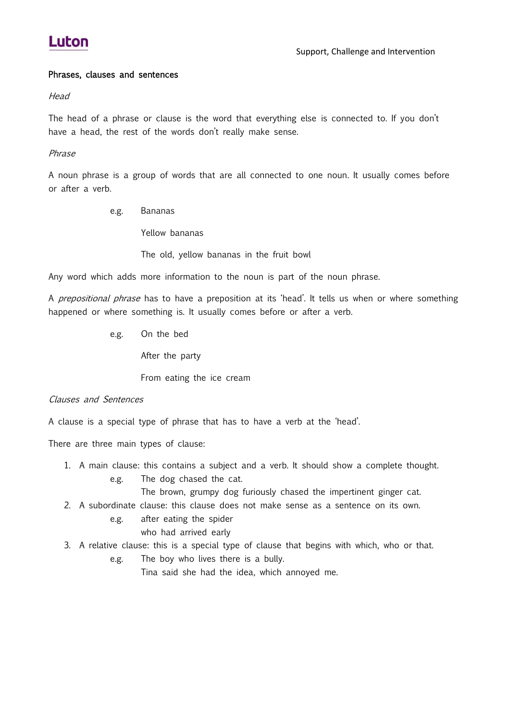# **Luton**

#### Phrases, clauses and sentences

**Head** 

The head of a phrase or clause is the word that everything else is connected to. If you don't have a head, the rest of the words don't really make sense.

Phrase

A noun phrase is a group of words that are all connected to one noun. It usually comes before or after a verb.

e.g. Bananas

Yellow bananas

The old, yellow bananas in the fruit bowl

Any word which adds more information to the noun is part of the noun phrase.

A *prepositional phrase* has to have a preposition at its 'head'. It tells us when or where something happened or where something is. It usually comes before or after a verb.

e.g. On the bed

After the party

From eating the ice cream

#### Clauses and Sentences

A clause is a special type of phrase that has to have a verb at the 'head'.

There are three main types of clause:

- 1. A main clause: this contains a subject and a verb. It should show a complete thought. e.g. The dog chased the cat.
	- The brown, grumpy dog furiously chased the impertinent ginger cat.
- 2. A subordinate clause: this clause does not make sense as a sentence on its own.
	- e.g. after eating the spider
		- who had arrived early
- 3. A relative clause: this is a special type of clause that begins with which, who or that.
	- e.g. The boy who lives there is a bully.

Tina said she had the idea, which annoyed me.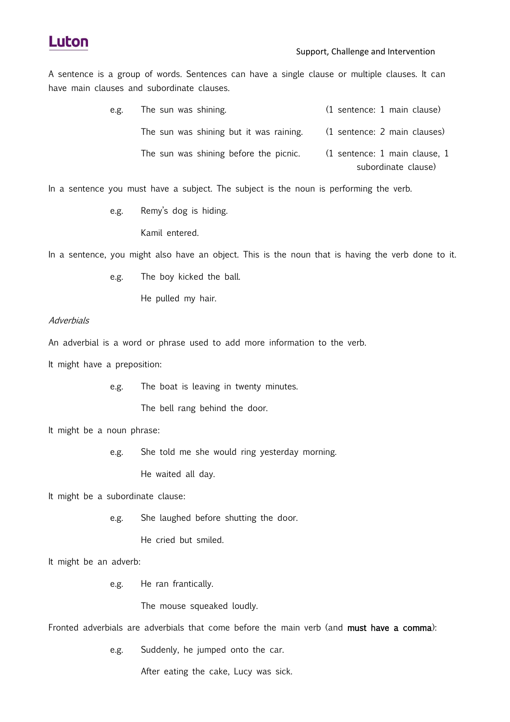

A sentence is a group of words. Sentences can have a single clause or multiple clauses. It can have main clauses and subordinate clauses.

| e.g. | The sun was shining.                    | (1 sentence: 1 main clause)   |
|------|-----------------------------------------|-------------------------------|
|      | The sun was shining but it was raining. | (1 sentence: 2 main clauses)  |
|      | The sun was shining before the picnic.  | (1 sentence: 1 main clause, 1 |
|      |                                         | subordinate clause)           |

In a sentence you must have a subject. The subject is the noun is performing the verb.

e.g. Remy's dog is hiding.

Kamil entered.

In a sentence, you might also have an object. This is the noun that is having the verb done to it.

e.g. The boy kicked the ball.

He pulled my hair.

#### **Adverbials**

An adverbial is a word or phrase used to add more information to the verb.

It might have a preposition:

e.g. The boat is leaving in twenty minutes.

The bell rang behind the door.

It might be a noun phrase:

e.g. She told me she would ring yesterday morning.

He waited all day.

It might be a subordinate clause:

e.g. She laughed before shutting the door.

He cried but smiled.

It might be an adverb:

e.g. He ran frantically.

The mouse squeaked loudly.

Fronted adverbials are adverbials that come before the main verb (and must have a comma):

e.g. Suddenly, he jumped onto the car.

After eating the cake, Lucy was sick.